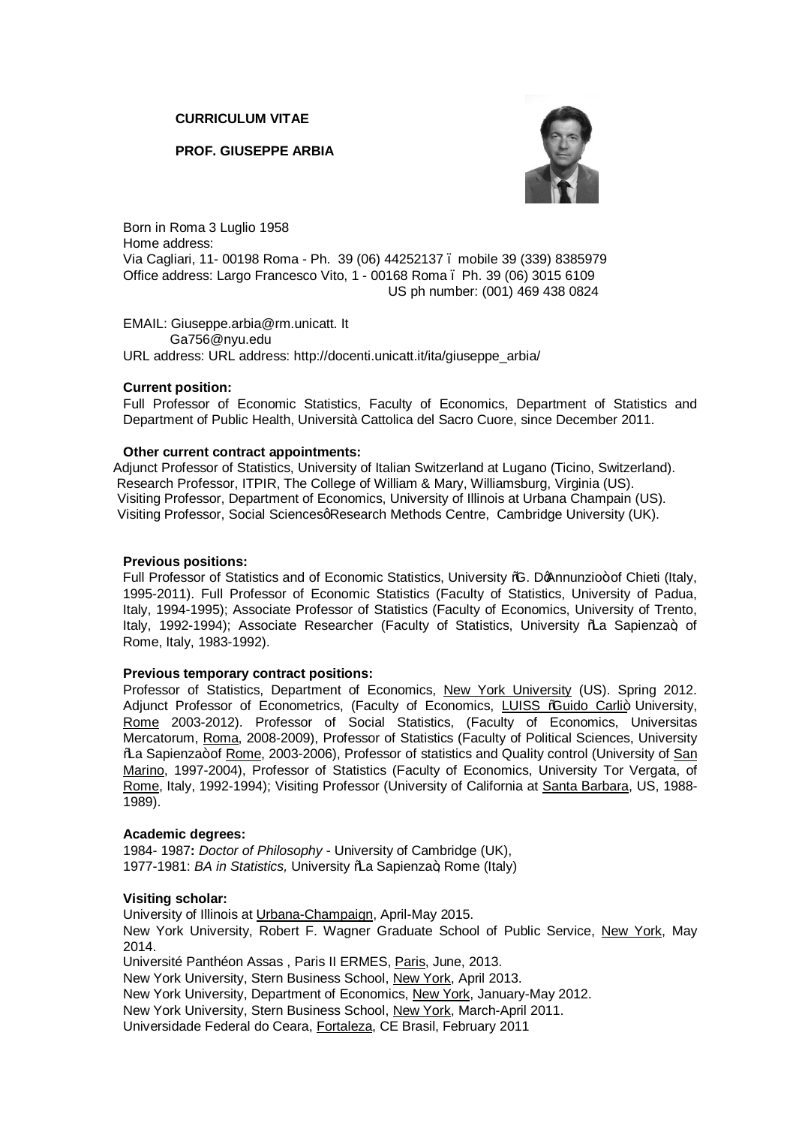**CURRICULUM VITAE**

**PROF. GIUSEPPE ARBIA**



Born in Roma 3 Luglio 1958 Home address: Via Cagliari, 11- 00198 Roma - Ph. 39 (06) 44252137 – mobile 39 (339) 8385979 Office address: Largo Francesco Vito, 1 - 00168 Roma – Ph. 39 (06) 3015 6109 US ph number: (001) 469 438 0824

EMAIL: Giuseppe.arbia@rm.unicatt. It Ga756@nyu.edu URL address: URL address: http://docenti.unicatt.it/ita/giuseppe\_arbia/

## **Current position:**

Full Professor of Economic Statistics, Faculty of Economics, Department of Statistics and Department of Public Health, Università Cattolica del Sacro Cuore, since December 2011.

## **Other current contract appointments:**

 Adjunct Professor of Statistics, University of Italian Switzerland at Lugano (Ticino, Switzerland). Research Professor, ITPIR, The College of William & Mary, Williamsburg, Virginia (US). Visiting Professor, Department of Economics, University of Illinois at Urbana Champain (US). Visiting Professor, Social SciencesqResearch Methods Centre, Cambridge University (UK).

#### **Previous positions:**

Full Professor of Statistics and of Economic Statistics, University %. DoAnnunzio+ of Chieti (Italy, 1995-2011). Full Professor of Economic Statistics (Faculty of Statistics, University of Padua, Italy, 1994-1995); Associate Professor of Statistics (Faculty of Economics, University of Trento, Italy, 1992-1994); Associate Researcher (Faculty of Statistics, University ‰a Sapienza+, of Rome, Italy, 1983-1992).

#### **Previous temporary contract positions:**

Professor of Statistics, Department of Economics, New York University (US). Spring 2012. Adjunct Professor of Econometrics, (Faculty of Economics, LUISS % uido Carli+ University, Rome 2003-2012). Professor of Social Statistics, (Faculty of Economics, Universitas Mercatorum, Roma, 2008-2009), Professor of Statistics (Faculty of Political Sciences, University % A Sapienza+of Rome, 2003-2006), Professor of statistics and Quality control (University of San Marino, 1997-2004), Professor of Statistics (Faculty of Economics, University Tor Vergata, of Rome, Italy, 1992-1994); Visiting Professor (University of California at Santa Barbara, US, 1988- 1989).

#### **Academic degrees:**

1984- 1987**:** *Doctor of Philosophy* - University of Cambridge (UK), 1977-1981: *BA in Statistics*, University \%a Sapienza+, Rome (Italy)

# **Visiting scholar:**

University of Illinois at Urbana-Champaign, April-May 2015. New York University, Robert F. Wagner Graduate School of Public Service, New York, May 2014. Université Panthéon Assas , Paris II ERMES, Paris, June, 2013. New York University, Stern Business School, New York, April 2013. New York University, Department of Economics, New York, January-May 2012. New York University, Stern Business School, New York, March-April 2011.

Universidade Federal do Ceara, Fortaleza, CE Brasil, February 2011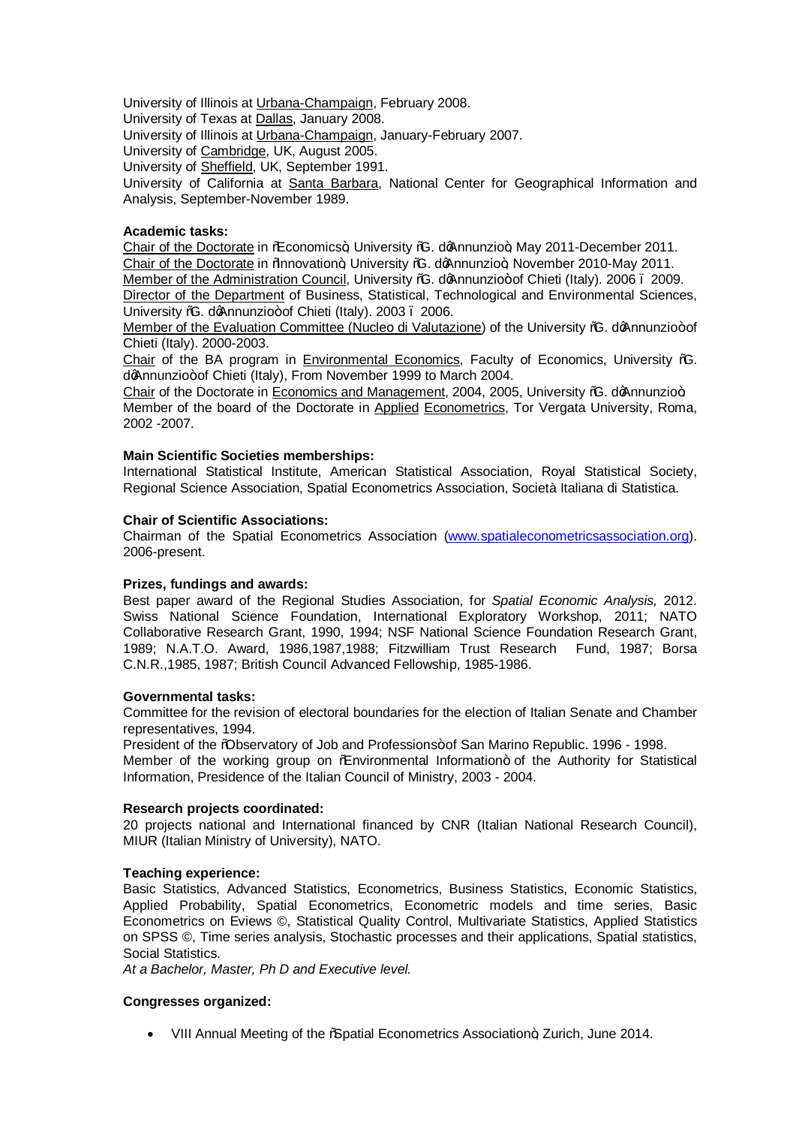University of Illinois at Urbana-Champaign, February 2008.

University of Texas at Dallas, January 2008.

University of Illinois at Urbana-Champaign, January-February 2007.

University of Cambridge, UK, August 2005.

University of Sheffield, UK, September 1991.

University of California at Santa Barbara, National Center for Geographical Information and Analysis, September-November 1989.

## **Academic tasks:**

Chair of the Doctorate in ‰ Conomics+, University %. do Annunzio+, May 2011-December 2011. Chair of the Doctorate in % anovation+ University %. do Annunzio+ November 2010-May 2011. Member of the Administration Council, University %G. doAnnunzio+ of Chieti (Italy). 2006 . 2009. Director of the Department of Business, Statistical, Technological and Environmental Sciences, University %G. doAnnunzio+ of Chieti (Italy). 2003 . 2006.

Member of the Evaluation Committee (Nucleo di Valutazione) of the University % do Annunzio+of Chieti (Italy). 2000-2003.

Chair of the BA program in Environmental Economics, Faculty of Economics, University "G. doAnnunzio+ of Chieti (Italy), From November 1999 to March 2004.

Chair of the Doctorate in Economics and Management, 2004, 2005, University %. doAnnunzio+ Member of the board of the Doctorate in Applied Econometrics, Tor Vergata University, Roma, 2002 -2007.

## **Main Scientific Societies memberships:**

International Statistical Institute, American Statistical Association, Royal Statistical Society, Regional Science Association, Spatial Econometrics Association, Società Italiana di Statistica.

## **Chair of Scientific Associations:**

Chairman of the Spatial Econometrics Association (www.spatialeconometricsassociation.org). 2006-present.

# **Prizes, fundings and awards:**

Best paper award of the Regional Studies Association, for *Spatial Economic Analysis,* 2012. Swiss National Science Foundation, International Exploratory Workshop, 2011; NATO Collaborative Research Grant, 1990, 1994; NSF National Science Foundation Research Grant, 1989; N.A.T.O. Award, 1986,1987,1988; Fitzwilliam Trust Research Fund, 1987; Borsa C.N.R.,1985, 1987; British Council Advanced Fellowship, 1985-1986.

#### **Governmental tasks:**

Committee for the revision of electoral boundaries for the election of Italian Senate and Chamber representatives, 1994.

President of the %Dbservatory of Job and Professions+of San Marino Republic. 1996 - 1998.

Member of the working group on % nvironmental Information+ of the Authority for Statistical Information, Presidence of the Italian Council of Ministry, 2003 - 2004.

#### **Research projects coordinated:**

20 projects national and International financed by CNR (Italian National Research Council), MIUR (Italian Ministry of University), NATO.

# **Teaching experience:**

Basic Statistics, Advanced Statistics, Econometrics, Business Statistics, Economic Statistics, Applied Probability, Spatial Econometrics, Econometric models and time series, Basic Econometrics on Eviews ©, Statistical Quality Control, Multivariate Statistics, Applied Statistics on SPSS ©, Time series analysis, Stochastic processes and their applications, Spatial statistics, Social Statistics.

*At a Bachelor, Master, Ph D and Executive level.*

# **Congresses organized:**

• VIII Annual Meeting of the %Spatial Econometrics Association+, Zurich, June 2014.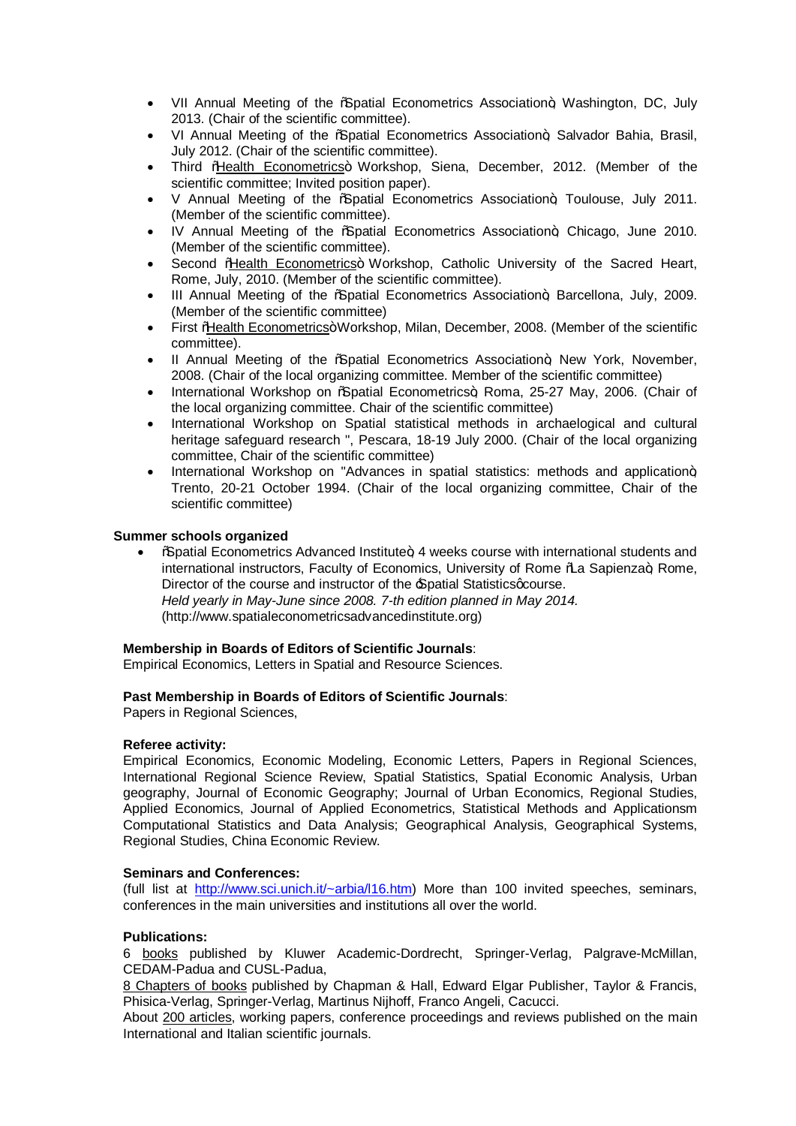- VII Annual Meeting of the *"*Spatial Econometrics Association+, Washington, DC, July 2013. (Chair of the scientific committee).
- VI Annual Meeting of the *"*Spatial Econometrics Association+, Salvador Bahia, Brasil, July 2012. (Chair of the scientific committee).
- Third % Health Econometrics+ Workshop, Siena, December, 2012. (Member of the scientific committee; Invited position paper).
- V Annual Meeting of the *Sacatial* Econometrics Association+ Toulouse, July 2011. (Member of the scientific committee).
- · IV Annual Meeting of the "Spatial Econometrics Association", Chicago, June 2010. (Member of the scientific committee).
- Second %Health Econometrics+ Workshop, Catholic University of the Sacred Heart, Rome, July, 2010. (Member of the scientific committee).
- III Annual Meeting of the %Spatial Econometrics Association+, Barcellona, July, 2009. (Member of the scientific committee)
- First %Health Econometrics+Workshop, Milan, December, 2008. (Member of the scientific committee).
- II Annual Meeting of the *"*Spatial Econometrics Association+, New York, November, 2008. (Chair of the local organizing committee. Member of the scientific committee)
- International Workshop on % patial Econometrics+, Roma, 25-27 May, 2006. (Chair of the local organizing committee. Chair of the scientific committee)
- · International Workshop on Spatial statistical methods in archaelogical and cultural heritage safeguard research ", Pescara, 18-19 July 2000. (Chair of the local organizing committee, Chair of the scientific committee)
- International Workshop on "Advances in spatial statistics: methods and application $+$ Trento, 20-21 October 1994. (Chair of the local organizing committee, Chair of the scientific committee)

## **Summer schools organized**

**Example I** Econometrics Advanced Institute + 4 weeks course with international students and international instructors, Faculty of Economics, University of Rome % a Sapienza+, Rome, Director of the course and instructor of the *Spatial Statistics acourse*. *Held yearly in May-June since 2008. 7-th edition planned in May 2014.* (http://www.spatialeconometricsadvancedinstitute.org)

#### **Membership in Boards of Editors of Scientific Journals**:

Empirical Economics, Letters in Spatial and Resource Sciences.

#### **Past Membership in Boards of Editors of Scientific Journals**:

Papers in Regional Sciences,

#### **Referee activity:**

Empirical Economics, Economic Modeling, Economic Letters, Papers in Regional Sciences, International Regional Science Review, Spatial Statistics, Spatial Economic Analysis, Urban geography, Journal of Economic Geography; Journal of Urban Economics, Regional Studies, Applied Economics, Journal of Applied Econometrics, Statistical Methods and Applicationsm Computational Statistics and Data Analysis; Geographical Analysis, Geographical Systems, Regional Studies, China Economic Review.

#### **Seminars and Conferences:**

(full list at http://www.sci.unich.it/~arbia/l16.htm) More than 100 invited speeches, seminars, conferences in the main universities and institutions all over the world.

#### **Publications:**

6 books published by Kluwer Academic-Dordrecht, Springer-Verlag, Palgrave-McMillan, CEDAM-Padua and CUSL-Padua,

8 Chapters of books published by Chapman & Hall, Edward Elgar Publisher, Taylor & Francis, Phisica-Verlag, Springer-Verlag, Martinus Nijhoff, Franco Angeli, Cacucci.

About 200 articles, working papers, conference proceedings and reviews published on the main International and Italian scientific journals.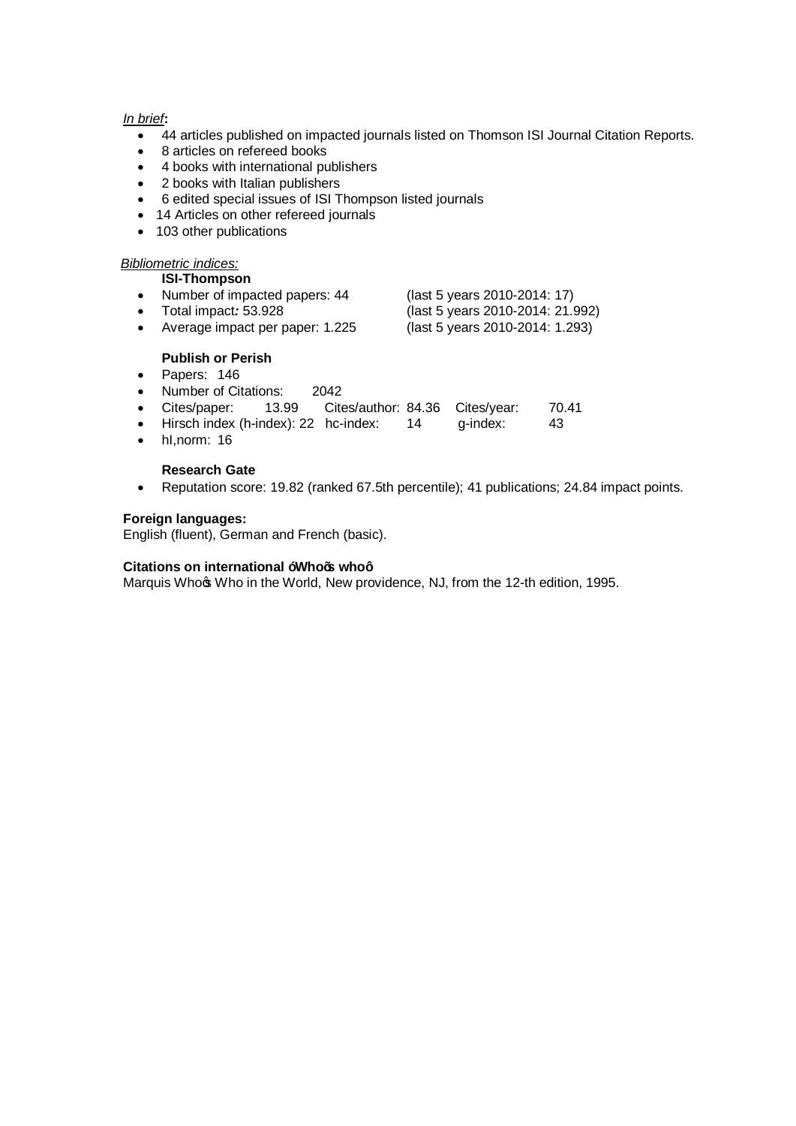## *In brief***:**

- · 44 articles published on impacted journals listed on Thomson ISI Journal Citation Reports.
- · 8 articles on refereed books
- · 4 books with international publishers
- · 2 books with Italian publishers
- · 6 edited special issues of ISI Thompson listed journals
- · 14 Articles on other refereed journals
- 103 other publications

#### *Bibliometric indices:*

|           | <b>ISI-Thompson</b>           |                                  |
|-----------|-------------------------------|----------------------------------|
| $\bullet$ | Number of impacted papers: 44 | (last 5 years 2010-2014: 17)     |
| $\bullet$ | Total impact: 53.928          | (last 5 years 2010-2014: 21.992) |

· Average impact per paper: 1.225 (last 5 years 2010-2014: 1.293)

## **Publish or Perish**

- · Papers: 146
- · Number of Citations: 2042
- · Cites/paper: 13.99 Cites/author: 84.36 Cites/year: 70.41
- Hirsch index (h-index): 22 hc-index: 14 g-index: 43
- · hI,norm: 16

## **Research Gate**

· Reputation score: 19.82 (ranked 67.5th percentile); 41 publications; 24.84 impact points.

## **Foreign languages:**

English (fluent), German and French (basic).

## **Citations on international "Who's who"**

Marquis Who $\infty$  Who in the World, New providence, NJ, from the 12-th edition, 1995.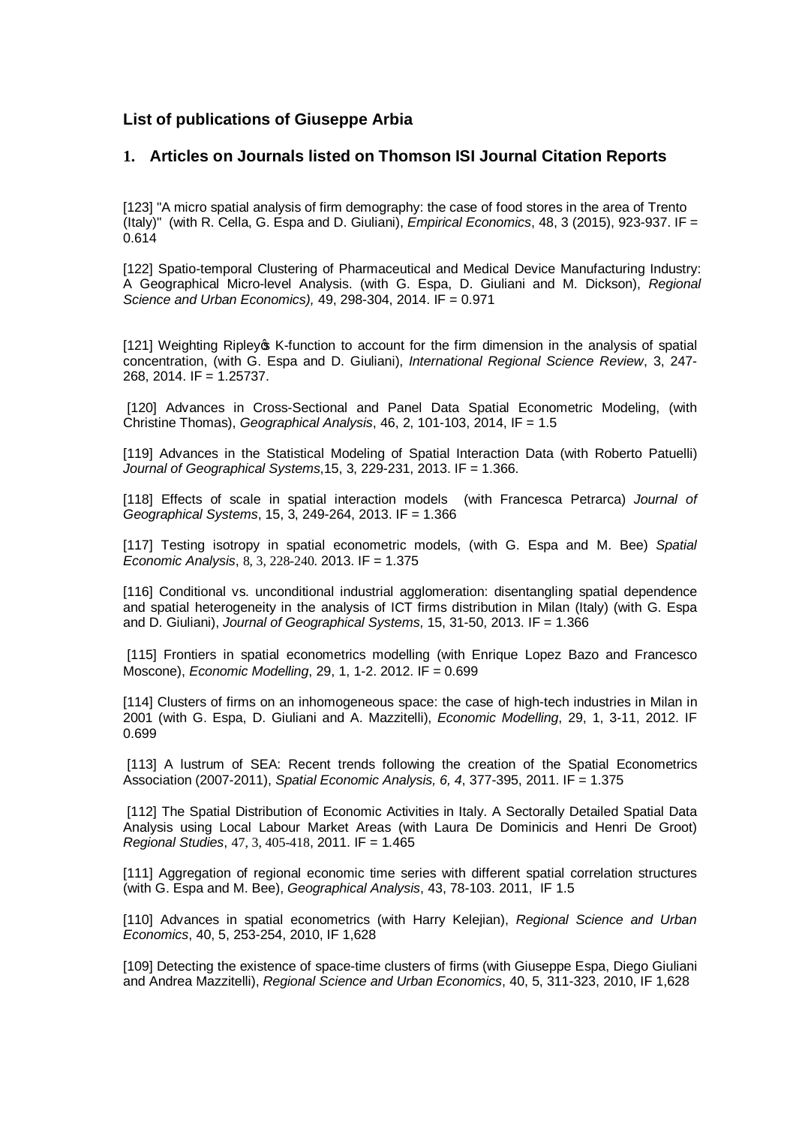# **List of publications of Giuseppe Arbia**

# **1. Articles on Journals listed on Thomson ISI Journal Citation Reports**

[123] "A micro spatial analysis of firm demography: the case of food stores in the area of Trento (Italy)" (with R. Cella, G. Espa and D. Giuliani), *Empirical Economics*, 48, 3 (2015), 923-937. IF = 0.614

[122] Spatio-temporal Clustering of Pharmaceutical and Medical Device Manufacturing Industry: A Geographical Micro-level Analysis. (with G. Espa, D. Giuliani and M. Dickson), *Regional Science and Urban Economics),* 49, 298-304, 2014. IF = 0.971

[121] Weighting Ripley of K-function to account for the firm dimension in the analysis of spatial concentration, (with G. Espa and D. Giuliani), *International Regional Science Review*, 3, 247- 268, 2014. IF = 1.25737.

[120] Advances in Cross-Sectional and Panel Data Spatial Econometric Modeling, (with Christine Thomas), *Geographical Analysis*, 46, 2, 101-103, 2014, IF = 1.5

[119] Advances in the Statistical Modeling of Spatial Interaction Data (with Roberto Patuelli) *Journal of Geographical Systems*,15, 3, 229-231, 2013. IF = 1.366.

[118] Effects of scale in spatial interaction models (with Francesca Petrarca) *Journal of Geographical Systems*, 15, 3, 249-264, 2013. IF = 1.366

[117] Testing isotropy in spatial econometric models, (with G. Espa and M. Bee) *Spatial Economic Analysis*, 8, 3, 228-240. 2013. IF = 1.375

[116] Conditional vs. unconditional industrial agglomeration: disentangling spatial dependence and spatial heterogeneity in the analysis of ICT firms distribution in Milan (Italy) (with G. Espa and D. Giuliani), *Journal of Geographical Systems*, 15, 31-50, 2013. IF = 1.366

[115] Frontiers in spatial econometrics modelling (with Enrique Lopez Bazo and Francesco Moscone), *Economic Modelling*, 29, 1, 1-2. 2012. IF = 0.699

[114] Clusters of firms on an inhomogeneous space: the case of high-tech industries in Milan in 2001 (with G. Espa, D. Giuliani and A. Mazzitelli), *Economic Modelling*, 29, 1, 3-11, 2012. IF 0.699

[113] A lustrum of SEA: Recent trends following the creation of the Spatial Econometrics Association (2007-2011), *Spatial Economic Analysis, 6, 4*, 377-395, 2011. IF = 1.375

[112] The Spatial Distribution of Economic Activities in Italy. A Sectorally Detailed Spatial Data Analysis using Local Labour Market Areas (with Laura De Dominicis and Henri De Groot) *Regional Studies*, 47, 3, 405-418, 2011. IF = 1.465

[111] Aggregation of regional economic time series with different spatial correlation structures (with G. Espa and M. Bee), *Geographical Analysis*, 43, 78-103. 2011, IF 1.5

[110] Advances in spatial econometrics (with Harry Kelejian), *Regional Science and Urban Economics*, 40, 5, 253-254, 2010, IF 1,628

[109] Detecting the existence of space-time clusters of firms (with Giuseppe Espa, Diego Giuliani and Andrea Mazzitelli), *Regional Science and Urban Economics*, 40, 5, 311-323, 2010, IF 1,628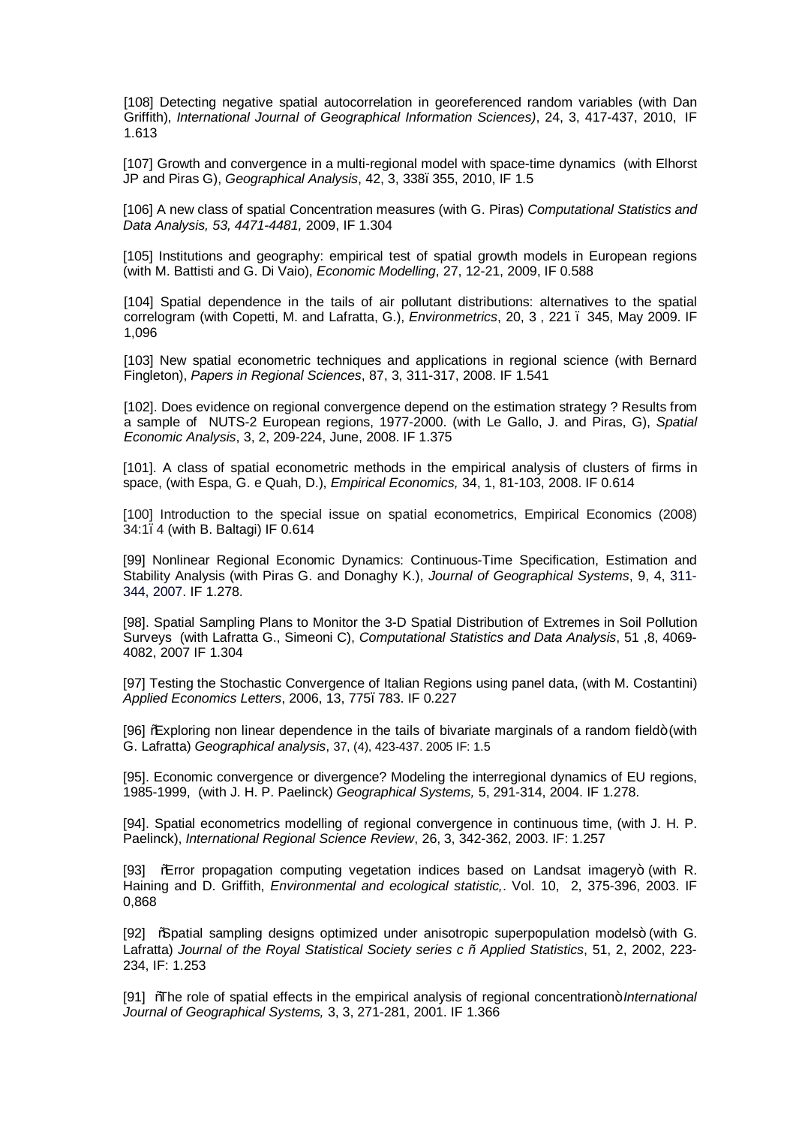[108] Detecting negative spatial autocorrelation in georeferenced random variables (with Dan Griffith), *International Journal of Geographical Information Sciences)*, 24, 3, 417-437, 2010, IF 1.613

[107] Growth and convergence in a multi-regional model with space-time dynamics (with Elhorst JP and Piras G), *Geographical Analysis*, 42, 3, 338–355, 2010, IF 1.5

[106] A new class of spatial Concentration measures (with G. Piras) *Computational Statistics and Data Analysis, 53, 4471-4481,* 2009, IF 1.304

[105] Institutions and geography: empirical test of spatial growth models in European regions (with M. Battisti and G. Di Vaio), *Economic Modelling*, 27, 12-21, 2009, IF 0.588

[104] Spatial dependence in the tails of air pollutant distributions: alternatives to the spatial correlogram (with Copetti, M. and Lafratta, G.), *Environmetrics*, 20, 3 , 221 – 345, May 2009. IF 1,096

[103] New spatial econometric techniques and applications in regional science (with Bernard Fingleton), *Papers in Regional Sciences*, 87, 3, 311-317, 2008. IF 1.541

[102]. Does evidence on regional convergence depend on the estimation strategy ? Results from a sample of NUTS-2 European regions, 1977-2000. (with Le Gallo, J. and Piras, G), *Spatial Economic Analysis*, 3, 2, 209-224, June, 2008. IF 1.375

[101]. A class of spatial econometric methods in the empirical analysis of clusters of firms in space, (with Espa, G. e Quah, D.), *Empirical Economics,* 34, 1, 81-103, 2008. IF 0.614

[100] Introduction to the special issue on spatial econometrics, Empirical Economics (2008) 34:1–4 (with B. Baltagi) IF 0.614

[99] Nonlinear Regional Economic Dynamics: Continuous-Time Specification, Estimation and Stability Analysis (with Piras G. and Donaghy K.), *Journal of Geographical Systems*, 9, 4, 311- 344, 2007. IF 1.278.

[98]. Spatial Sampling Plans to Monitor the 3-D Spatial Distribution of Extremes in Soil Pollution Surveys (with Lafratta G., Simeoni C), *Computational Statistics and Data Analysis*, 51 ,8, 4069- 4082, 2007 IF 1.304

[97] Testing the Stochastic Convergence of Italian Regions using panel data, (with M. Costantini) *Applied Economics Letters*, 2006, 13, 775–783. IF 0.227

[96] *"*Exploring non linear dependence in the tails of bivariate marginals of a random field+ (with G. Lafratta) *Geographical analysis*, 37, (4), 423-437. 2005 IF: 1.5

[95]. Economic convergence or divergence? Modeling the interregional dynamics of EU regions, 1985-1999, (with J. H. P. Paelinck) *Geographical Systems,* 5, 291-314, 2004. IF 1.278.

[94]. Spatial econometrics modelling of regional convergence in continuous time, (with J. H. P. Paelinck), *International Regional Science Review*, 26, 3, 342-362, 2003. IF: 1.257

[93]  $\%$  From propagation computing vegetation indices based on Landsat imagery+ (with R. Haining and D. Griffith, *Environmental and ecological statistic,*. Vol. 10, 2, 375-396, 2003. IF 0,868

[92] %Spatial sampling designs optimized under anisotropic superpopulation models+ (with G. Lafratta) *Journal of the Royal Statistical Society series c – Applied Statistics*, 51, 2, 2002, 223- 234, IF: 1.253

[91] *"The role of spatial effects in the empirical analysis of regional concentration+ <i>International Journal of Geographical Systems,* 3, 3, 271-281, 2001. IF 1.366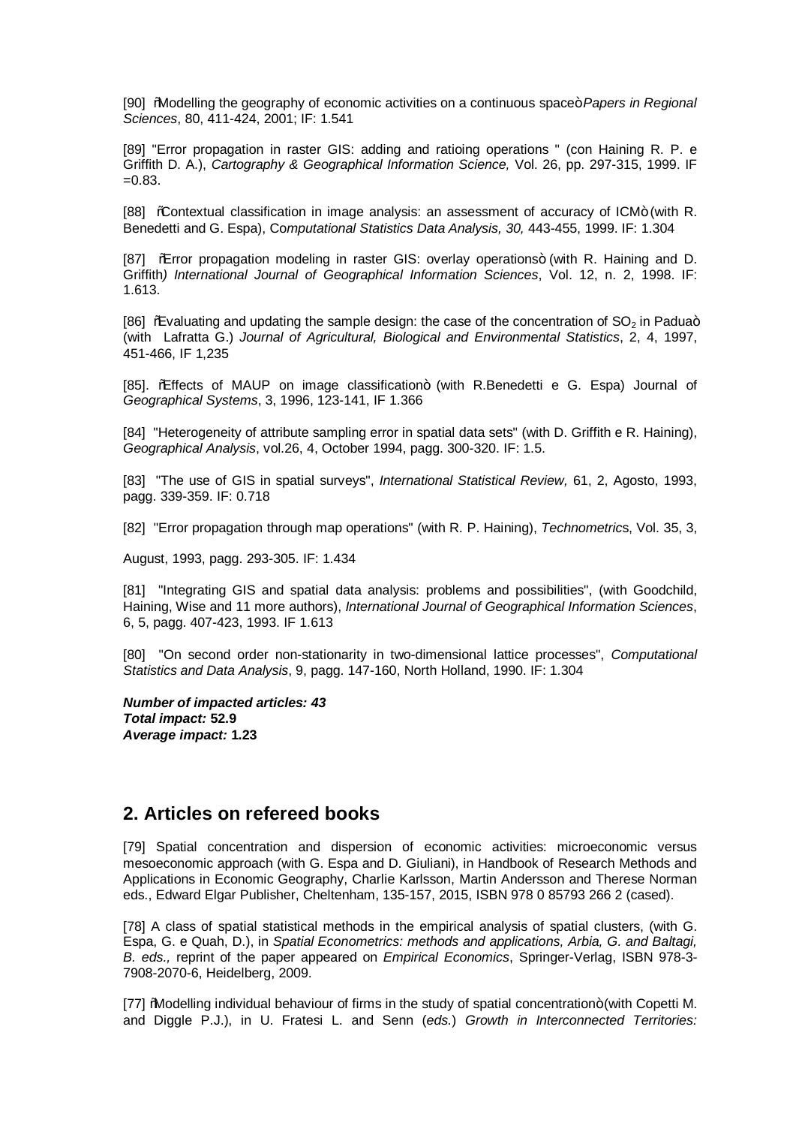[90] *"Modelling the geography of economic activities on a continuous space+ Papers in Regional Sciences*, 80, 411-424, 2001; IF: 1.541

[89] "Error propagation in raster GIS: adding and ratioing operations " (con Haining R. P. e Griffith D. A.), *Cartography & Geographical Information Science,* Vol. 26, pp. 297-315, 1999. IF  $=0.83$ .

[88] %Contextual classification in image analysis: an assessment of accuracy of ICM+ (with R. Benedetti and G. Espa), Co*mputational Statistics Data Analysis, 30,* 443-455, 1999. IF: 1.304

[87] % Fror propagation modeling in raster GIS: overlay operations+ (with R. Haining and D. Griffith*) International Journal of Geographical Information Sciences*, Vol. 12, n. 2, 1998. IF: 1.613.

[86]  $%$ Evaluating and updating the sample design: the case of the concentration of SO<sub>2</sub> in Padua+ (with Lafratta G.) *Journal of Agricultural, Biological and Environmental Statistics*, 2, 4, 1997, 451-466, IF 1,235

[85]. % frects of MAUP on image classification+ (with R.Benedetti e G. Espa) Journal of *Geographical Systems*, 3, 1996, 123-141, IF 1.366

[84] "Heterogeneity of attribute sampling error in spatial data sets" (with D. Griffith e R. Haining), *Geographical Analysis*, vol.26, 4, October 1994, pagg. 300-320. IF: 1.5.

[83] "The use of GIS in spatial surveys", *International Statistical Review,* 61, 2, Agosto, 1993, pagg. 339-359. IF: 0.718

[82] "Error propagation through map operations" (with R. P. Haining), *Technometric*s, Vol. 35, 3,

August, 1993, pagg. 293-305. IF: 1.434

[81] "Integrating GIS and spatial data analysis: problems and possibilities", (with Goodchild, Haining, Wise and 11 more authors), *International Journal of Geographical Information Sciences*, 6, 5, pagg. 407-423, 1993. IF 1.613

[80] "On second order non-stationarity in two-dimensional lattice processes", *Computational Statistics and Data Analysis*, 9, pagg. 147-160, North Holland, 1990. IF: 1.304

*Number of impacted articles: 43 Total impact:* **52.9** *Average impact:* **1.23**

# **2. Articles on refereed books**

[79] Spatial concentration and dispersion of economic activities: microeconomic versus mesoeconomic approach (with G. Espa and D. Giuliani), in Handbook of Research Methods and Applications in Economic Geography, Charlie Karlsson, Martin Andersson and Therese Norman eds., Edward Elgar Publisher, Cheltenham, 135-157, 2015, ISBN 978 0 85793 266 2 (cased).

[78] A class of spatial statistical methods in the empirical analysis of spatial clusters, (with G. Espa, G. e Quah, D.), in *Spatial Econometrics: methods and applications, Arbia, G. and Baltagi, B. eds.,* reprint of the paper appeared on *Empirical Economics*, Springer-Verlag, ISBN 978-3- 7908-2070-6, Heidelberg, 2009.

[77] Modelling individual behaviour of firms in the study of spatial concentration+ (with Copetti M. and Diggle P.J.), in U. Fratesi L. and Senn (*eds.*) *Growth in Interconnected Territories:*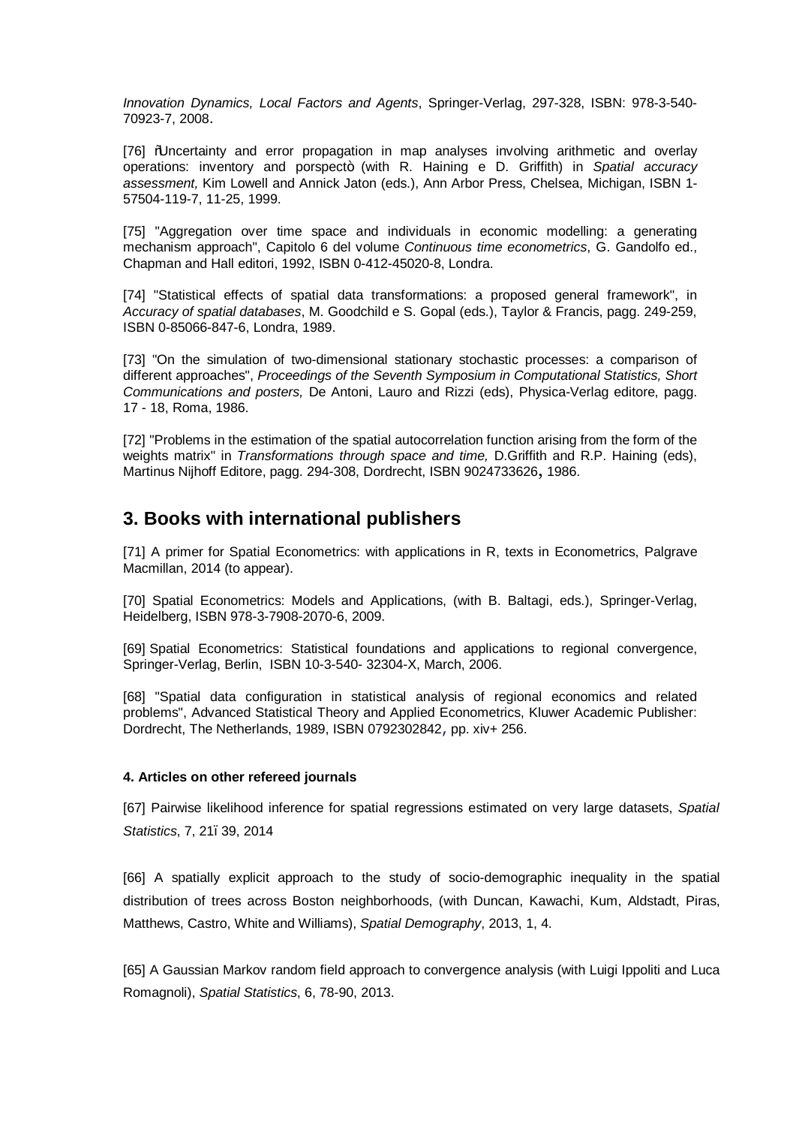*Innovation Dynamics, Local Factors and Agents*, Springer-Verlag, 297-328, ISBN: 978-3-540- 70923-7, 2008.

[76] "Uncertainty and error propagation in map analyses involving arithmetic and overlay operations: inventory and porspect+ (with R. Haining e D. Griffith) in *Spatial accuracy assessment,* Kim Lowell and Annick Jaton (eds.), Ann Arbor Press, Chelsea, Michigan, ISBN 1- 57504-119-7, 11-25, 1999.

[75] "Aggregation over time space and individuals in economic modelling: a generating mechanism approach", Capitolo 6 del volume *Continuous time econometrics*, G. Gandolfo ed., Chapman and Hall editori, 1992, ISBN 0-412-45020-8, Londra.

[74] "Statistical effects of spatial data transformations: a proposed general framework", in *Accuracy of spatial databases*, M. Goodchild e S. Gopal (eds.), Taylor & Francis, pagg. 249-259, ISBN 0-85066-847-6, Londra, 1989.

[73] "On the simulation of two-dimensional stationary stochastic processes: a comparison of different approaches", *Proceedings of the Seventh Symposium in Computational Statistics, Short Communications and posters,* De Antoni, Lauro and Rizzi (eds), Physica-Verlag editore, pagg. 17 - 18, Roma, 1986.

[72] "Problems in the estimation of the spatial autocorrelation function arising from the form of the weights matrix" in *Transformations through space and time,* D.Griffith and R.P. Haining (eds), Martinus Nijhoff Editore, pagg. 294-308, Dordrecht, ISBN 9024733626, 1986.

# **3. Books with international publishers**

[71] A primer for Spatial Econometrics: with applications in R, texts in Econometrics, Palgrave Macmillan, 2014 (to appear).

[70] Spatial Econometrics: Models and Applications, (with B. Baltagi, eds.), Springer-Verlag, Heidelberg, ISBN 978-3-7908-2070-6, 2009.

[69] Spatial Econometrics: Statistical foundations and applications to regional convergence, Springer-Verlag, Berlin, ISBN 10-3-540- 32304-X, March, 2006.

[68] "Spatial data configuration in statistical analysis of regional economics and related problems", Advanced Statistical Theory and Applied Econometrics, Kluwer Academic Publisher: Dordrecht, The Netherlands, 1989, ISBN 0792302842, pp. xiv+ 256.

#### **4. Articles on other refereed journals**

[67] Pairwise likelihood inference for spatial regressions estimated on very large datasets, *Spatial Statistics*, 7, 21–39, 2014

[66] A spatially explicit approach to the study of socio-demographic inequality in the spatial distribution of trees across Boston neighborhoods, (with Duncan, Kawachi, Kum, Aldstadt, Piras, Matthews, Castro, White and Williams), *Spatial Demography*, 2013, 1, 4.

[65] A Gaussian Markov random field approach to convergence analysis (with Luigi Ippoliti and Luca Romagnoli), *Spatial Statistics*, 6, 78-90, 2013.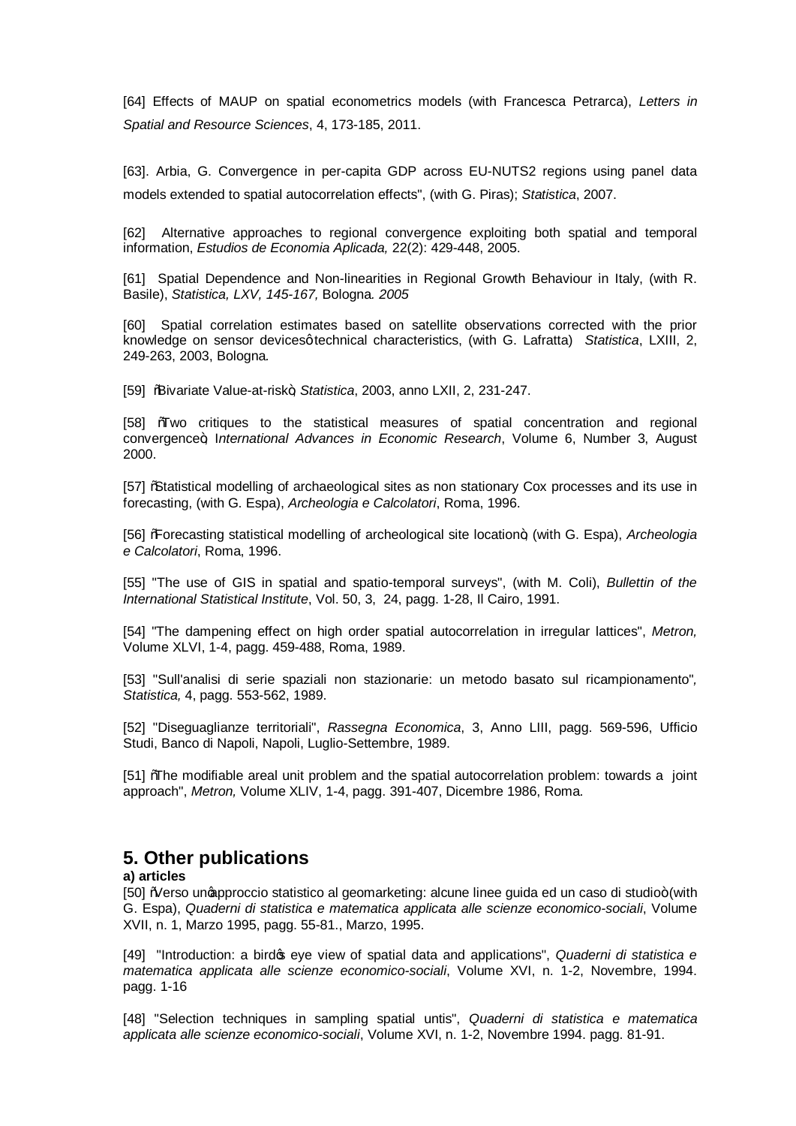[64] Effects of MAUP on spatial econometrics models (with Francesca Petrarca), *Letters in Spatial and Resource Sciences*, 4, 173-185, 2011.

[63]. Arbia, G. Convergence in per-capita GDP across EU-NUTS2 regions using panel data models extended to spatial autocorrelation effects", (with G. Piras); *Statistica*, 2007.

[62] Alternative approaches to regional convergence exploiting both spatial and temporal information, *Estudios de Economia Aplicada,* 22(2): 429-448, 2005.

[61] Spatial Dependence and Non-linearities in Regional Growth Behaviour in Italy, (with R. Basile), *Statistica, LXV, 145-167,* Bologna*. 2005*

[60] Spatial correlation estimates based on satellite observations corrected with the prior knowledge on sensor devices q technical characteristics, (with G. Lafratta) *Statistica*, LXIII, 2, 249-263, 2003, Bologna*.*

[59] "Bivariate Value-at-risk", *Statistica*, 2003, anno LXII, 2, 231-247.

[58] "Two critiques to the statistical measures of spatial concentration and regional convergence", I*nternational Advances in Economic Research*, Volume 6, Number 3, August 2000.

[57] "Statistical modelling of archaeological sites as non stationary Cox processes and its use in forecasting, (with G. Espa), *Archeologia e Calcolatori*, Roma, 1996.

[56] "Forecasting statistical modelling of archeological site location", (with G. Espa), *Archeologia e Calcolatori*, Roma, 1996.

[55] "The use of GIS in spatial and spatio-temporal surveys", (with M. Coli), *Bullettin of the International Statistical Institute*, Vol. 50, 3, 24, pagg. 1-28, Il Cairo, 1991.

[54] "The dampening effect on high order spatial autocorrelation in irregular lattices", *Metron,* Volume XLVI, 1-4, pagg. 459-488, Roma, 1989.

[53] "Sull'analisi di serie spaziali non stazionarie: un metodo basato sul ricampionamento"*, Statistica,* 4, pagg. 553-562, 1989.

[52] "Diseguaglianze territoriali", *Rassegna Economica*, 3, Anno LIII, pagg. 569-596, Ufficio Studi, Banco di Napoli, Napoli, Luglio-Settembre, 1989.

[51] "The modifiable areal unit problem and the spatial autocorrelation problem: towards a joint approach", *Metron,* Volume XLIV, 1-4, pagg. 391-407, Dicembre 1986, Roma.

# **5. Other publications**

#### **a) articles**

[50] Werso ungapproccio statistico al geomarketing: alcune linee quida ed un caso di studio+ (with G. Espa), *Quaderni di statistica e matematica applicata alle scienze economico-sociali*, Volume XVII, n. 1, Marzo 1995, pagg. 55-81., Marzo, 1995.

[49] "Introduction: a bird's eye view of spatial data and applications", *Quaderni di statistica e matematica applicata alle scienze economico-sociali*, Volume XVI, n. 1-2, Novembre, 1994. pagg. 1-16

[48] "Selection techniques in sampling spatial untis", *Quaderni di statistica e matematica applicata alle scienze economico-sociali*, Volume XVI, n. 1-2, Novembre 1994. pagg. 81-91.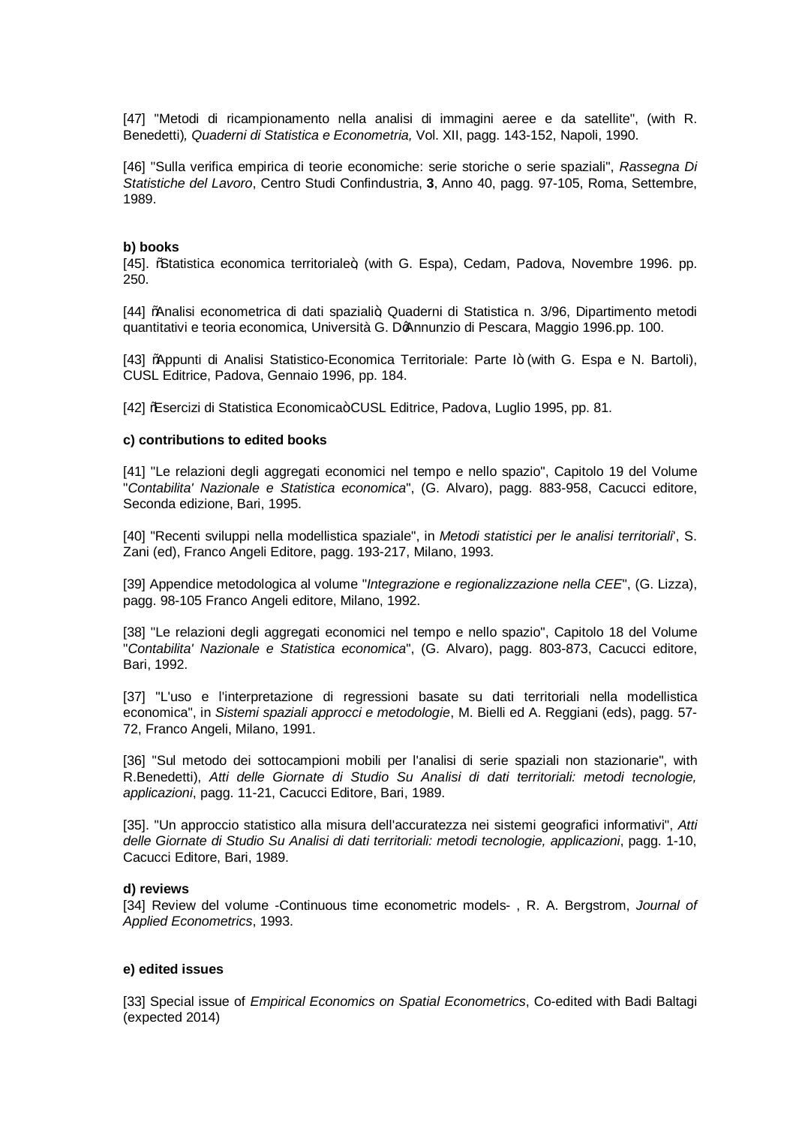[47] "Metodi di ricampionamento nella analisi di immagini aeree e da satellite", (with R. Benedetti)*, Quaderni di Statistica e Econometria,* Vol. XII, pagg. 143-152, Napoli, 1990.

[46] "Sulla verifica empirica di teorie economiche: serie storiche o serie spaziali", *Rassegna Di Statistiche del Lavoro*, Centro Studi Confindustria, **3**, Anno 40, pagg. 97-105, Roma, Settembre, 1989.

#### **b) books**

[45]. %Statistica economica territoriale+, (with G. Espa), Cedam, Padova, Novembre 1996. pp. 250.

[44] "Analisi econometrica di dati spaziali+ Quaderni di Statistica n. 3/96. Dipartimento metodi quantitativi e teoria economica, Università G. D'Annunzio di Pescara, Maggio 1996.pp. 100.

[43] "Appunti di Analisi Statistico-Economica Territoriale: Parte I+ (with G. Espa e N. Bartoli), CUSL Editrice, Padova, Gennaio 1996, pp. 184.

[42] ‰Sercizi di Statistica Economica+CUSL Editrice, Padova, Luglio 1995, pp. 81.

#### **c) contributions to edited books**

[41] "Le relazioni degli aggregati economici nel tempo e nello spazio", Capitolo 19 del Volume "*Contabilita' Nazionale e Statistica economica*", (G. Alvaro), pagg. 883-958, Cacucci editore, Seconda edizione, Bari, 1995.

[40] "Recenti sviluppi nella modellistica spaziale", in *Metodi statistici per le analisi territoriali*', S. Zani (ed), Franco Angeli Editore, pagg. 193-217, Milano, 1993.

[39] Appendice metodologica al volume "*Integrazione e regionalizzazione nella CEE*", (G. Lizza), pagg. 98-105 Franco Angeli editore, Milano, 1992.

[38] "Le relazioni degli aggregati economici nel tempo e nello spazio", Capitolo 18 del Volume "*Contabilita' Nazionale e Statistica economica*", (G. Alvaro), pagg. 803-873, Cacucci editore, Bari, 1992.

[37] "L'uso e l'interpretazione di regressioni basate su dati territoriali nella modellistica economica", in *Sistemi spaziali approcci e metodologie*, M. Bielli ed A. Reggiani (eds), pagg. 57- 72, Franco Angeli, Milano, 1991.

[36] "Sul metodo dei sottocampioni mobili per l'analisi di serie spaziali non stazionarie", with R.Benedetti), *Atti delle Giornate di Studio Su Analisi di dati territoriali: metodi tecnologie, applicazioni*, pagg. 11-21, Cacucci Editore, Bari, 1989.

[35]. "Un approccio statistico alla misura dell'accuratezza nei sistemi geografici informativi", *Atti delle Giornate di Studio Su Analisi di dati territoriali: metodi tecnologie, applicazioni*, pagg. 1-10, Cacucci Editore, Bari, 1989.

#### **d) reviews**

[34] Review del volume -Continuous time econometric models- , R. A. Bergstrom, *Journal of Applied Econometrics*, 1993.

#### **e) edited issues**

[33] Special issue of *Empirical Economics on Spatial Econometrics*, Co-edited with Badi Baltagi (expected 2014)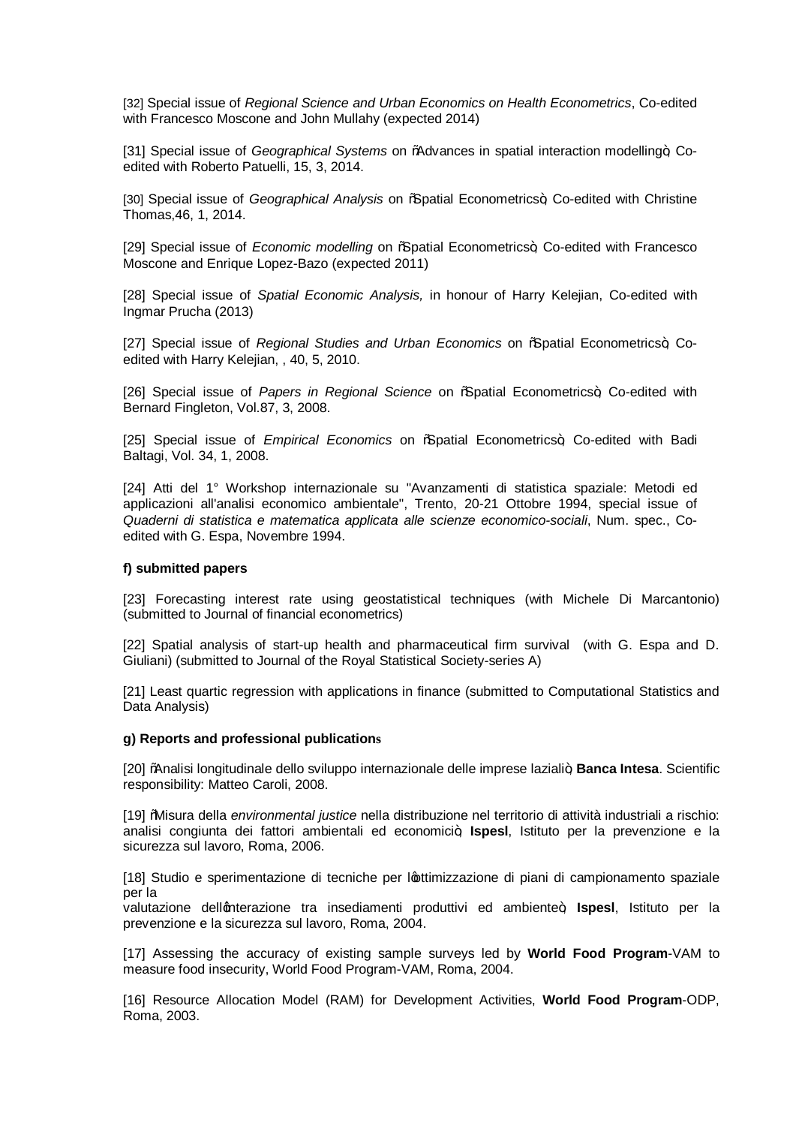[32] Special issue of *Regional Science and Urban Economics on Health Econometrics*, Co-edited with Francesco Moscone and John Mullahy (expected 2014)

[31] Special issue of *Geographical Systems* on %Advances in spatial interaction modelling+, Coedited with Roberto Patuelli, 15, 3, 2014.

[30] Special issue of *Geographical Analysis* on % patial Econometrics+, Co-edited with Christine Thomas,46, 1, 2014.

[29] Special issue of *Economic modelling* on % patial Econometrics+, Co-edited with Francesco Moscone and Enrique Lopez-Bazo (expected 2011)

[28] Special issue of *Spatial Economic Analysis,* in honour of Harry Kelejian, Co-edited with Ingmar Prucha (2013)

[27] Special issue of *Regional Studies and Urban Economics* on % patial Econometrics+, Coedited with Harry Kelejian, , 40, 5, 2010.

[26] Special issue of *Papers in Regional Science* on *"*Spatial Econometrics+, Co-edited with Bernard Fingleton, Vol.87, 3, 2008.

[25] Special issue of *Empirical Economics* on % patial Econometrics+, Co-edited with Badi Baltagi, Vol. 34, 1, 2008.

[24] Atti del 1° Workshop internazionale su "Avanzamenti di statistica spaziale: Metodi ed applicazioni all'analisi economico ambientale", Trento, 20-21 Ottobre 1994, special issue of *Quaderni di statistica e matematica applicata alle scienze economico-sociali*, Num. spec., Coedited with G. Espa, Novembre 1994.

#### **f) submitted papers**

[23] Forecasting interest rate using geostatistical techniques (with Michele Di Marcantonio) (submitted to Journal of financial econometrics)

[22] Spatial analysis of start-up health and pharmaceutical firm survival (with G. Espa and D. Giuliani) (submitted to Journal of the Royal Statistical Society-series A)

[21] Least quartic regression with applications in finance (submitted to Computational Statistics and Data Analysis)

#### **g) Reports and professional publications**

[20] "Analisi longitudinale dello sviluppo internazionale delle imprese laziali", **Banca Intesa**. Scientific responsibility: Matteo Caroli, 2008.

[19] "Misura della *environmental justice* nella distribuzione nel territorio di attività industriali a rischio: analisi congiunta dei fattori ambientali ed economici<sup>4</sup>; Ispesl, Istituto per la prevenzione e la sicurezza sul lavoro, Roma, 2006.

[18] Studio e sperimentazione di tecniche per l'ottimizzazione di piani di campionamento spaziale per la

valutazione dellenterazione tra insediamenti produttivi ed ambiente+, **Ispesi**, Istituto per la prevenzione e la sicurezza sul lavoro, Roma, 2004.

[17] Assessing the accuracy of existing sample surveys led by **World Food Program**-VAM to measure food insecurity, World Food Program-VAM, Roma, 2004.

[16] Resource Allocation Model (RAM) for Development Activities, **World Food Program**-ODP, Roma, 2003.